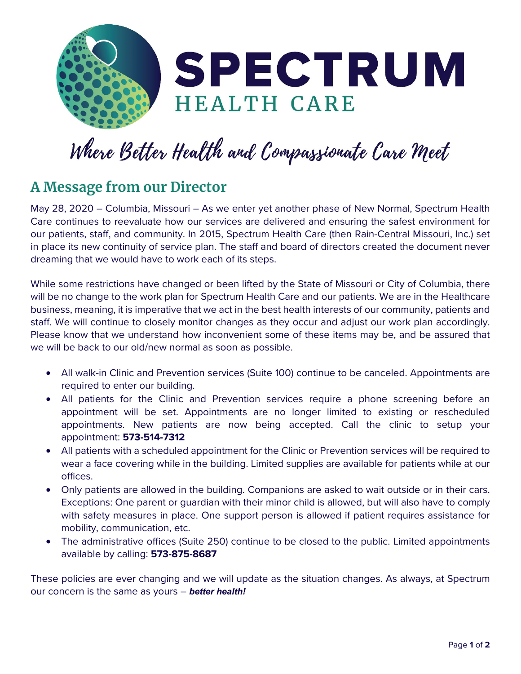

## Where Better Health and Compassionate Care Meet

## **A Message from our Director**

May 28, 2020 – Columbia, Missouri – As we enter yet another phase of New Normal, Spectrum Health Care continues to reevaluate how our services are delivered and ensuring the safest environment for our patients, staff, and community. In 2015, Spectrum Health Care (then Rain-Central Missouri, Inc.) set in place its new continuity of service plan. The staff and board of directors created the document never dreaming that we would have to work each of its steps.

While some restrictions have changed or been lifted by the State of Missouri or City of Columbia, there will be no change to the work plan for Spectrum Health Care and our patients. We are in the Healthcare business, meaning, it is imperative that we act in the best health interests of our community, patients and staff. We will continue to closely monitor changes as they occur and adjust our work plan accordingly. Please know that we understand how inconvenient some of these items may be, and be assured that we will be back to our old/new normal as soon as possible.

- All walk-in Clinic and Prevention services (Suite 100) continue to be canceled. Appointments are required to enter our building.
- All patients for the Clinic and Prevention services require a phone screening before an appointment will be set. Appointments are no longer limited to existing or rescheduled appointments. New patients are now being accepted. Call the clinic to setup your appointment: **573-514-7312**
- All patients with a scheduled appointment for the Clinic or Prevention services will be required to wear a face covering while in the building. Limited supplies are available for patients while at our offices.
- Only patients are allowed in the building. Companions are asked to wait outside or in their cars. Exceptions: One parent or guardian with their minor child is allowed, but will also have to comply with safety measures in place. One support person is allowed if patient requires assistance for mobility, communication, etc.
- The administrative offices (Suite 250) continue to be closed to the public. Limited appointments available by calling: **573-875-8687**

These policies are ever changing and we will update as the situation changes. As always, at Spectrum our concern is the same as yours – *better health!*